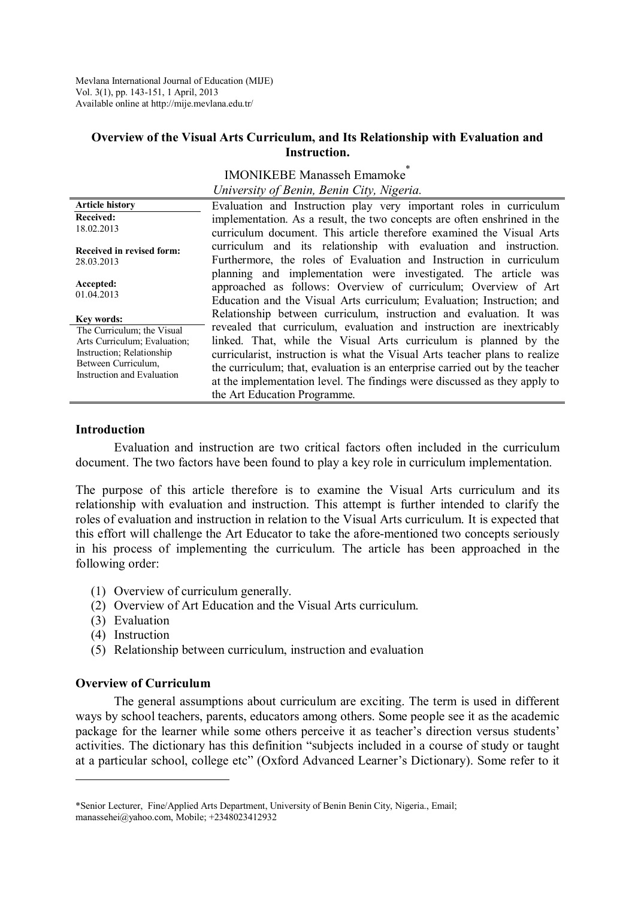Mevlana International Journal of Education (MIJE) Vol. 3(1), pp. 143-151, 1 April, 2013 Available online at http://mije.mevlana.edu.tr/

#### **Overview of the Visual Arts Curriculum, and Its Relationship with Evaluation and Instruction.**

|                                                                                                                                                            | <b>IMONIKEBE Manasseh Emamoke</b>                                                                                                                                                                                                                                                                                                                                                                                                                                                            |
|------------------------------------------------------------------------------------------------------------------------------------------------------------|----------------------------------------------------------------------------------------------------------------------------------------------------------------------------------------------------------------------------------------------------------------------------------------------------------------------------------------------------------------------------------------------------------------------------------------------------------------------------------------------|
|                                                                                                                                                            | University of Benin, Benin City, Nigeria.                                                                                                                                                                                                                                                                                                                                                                                                                                                    |
| <b>Article history</b><br><b>Received:</b><br>18.02.2013                                                                                                   | Evaluation and Instruction play very important roles in curriculum<br>implementation. As a result, the two concepts are often enshrined in the<br>curriculum document. This article therefore examined the Visual Arts                                                                                                                                                                                                                                                                       |
| Received in revised form:<br>28.03.2013                                                                                                                    | curriculum and its relationship with evaluation and instruction.<br>Furthermore, the roles of Evaluation and Instruction in curriculum                                                                                                                                                                                                                                                                                                                                                       |
| Accepted:<br>01.04.2013                                                                                                                                    | planning and implementation were investigated. The article was<br>approached as follows: Overview of curriculum; Overview of Art<br>Education and the Visual Arts curriculum; Evaluation; Instruction; and                                                                                                                                                                                                                                                                                   |
| Kev words:<br>The Curriculum; the Visual<br>Arts Curriculum; Evaluation;<br>Instruction; Relationship<br>Between Curriculum.<br>Instruction and Evaluation | Relationship between curriculum, instruction and evaluation. It was<br>revealed that curriculum, evaluation and instruction are inextricably<br>linked. That, while the Visual Arts curriculum is planned by the<br>curricularist, instruction is what the Visual Arts teacher plans to realize<br>the curriculum; that, evaluation is an enterprise carried out by the teacher<br>at the implementation level. The findings were discussed as they apply to<br>the Art Education Programme. |

#### **Introduction**

Evaluation and instruction are two critical factors often included in the curriculum document. The two factors have been found to play a key role in curriculum implementation.

The purpose of this article therefore is to examine the Visual Arts curriculum and its relationship with evaluation and instruction. This attempt is further intended to clarify the roles of evaluation and instruction in relation to the Visual Arts curriculum. It is expected that this effort will challenge the Art Educator to take the afore-mentioned two concepts seriously in his process of implementing the curriculum. The article has been approached in the following order:

- (1) Overview of curriculum generally.
- (2) Overview of Art Education and the Visual Arts curriculum.
- (3) Evaluation
- (4) Instruction

 $\overline{a}$ 

(5) Relationship between curriculum, instruction and evaluation

#### **Overview of Curriculum**

The general assumptions about curriculum are exciting. The term is used in different ways by school teachers, parents, educators among others. Some people see it as the academic package for the learner while some others perceive it as teacher's direction versus students' activities. The dictionary has this definition "subjects included in a course of study or taught at a particular school, college etc" (Oxford Advanced Learner's Dictionary). Some refer to it

<sup>\*</sup>Senior Lecturer, Fine/Applied Arts Department, University of Benin Benin City, Nigeria., Email; manassehei@yahoo.com, Mobile; +2348023412932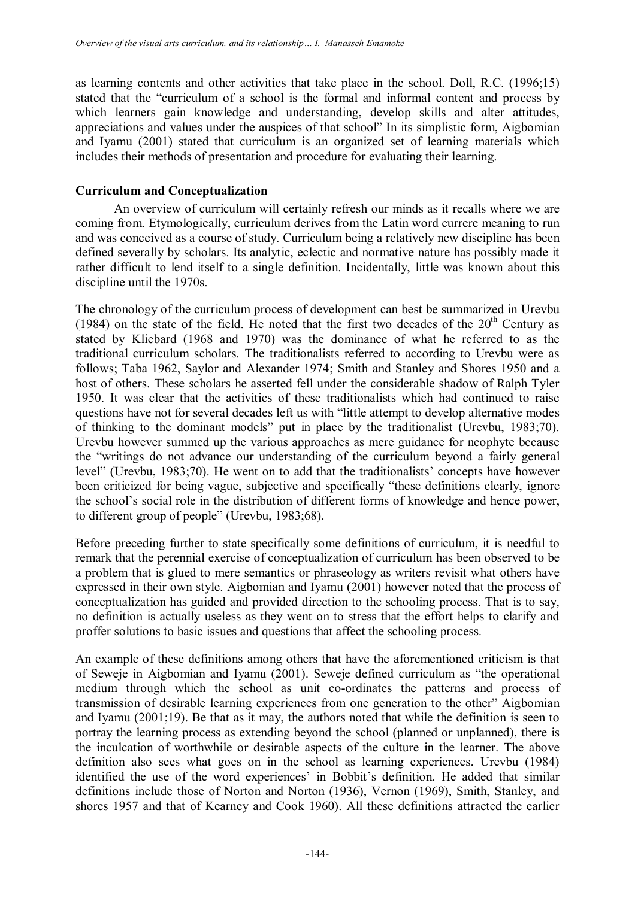as learning contents and other activities that take place in the school. Doll, R.C. (1996;15) stated that the "curriculum of a school is the formal and informal content and process by which learners gain knowledge and understanding, develop skills and alter attitudes, appreciations and values under the auspices of that school" In its simplistic form, Aigbomian and Iyamu (2001) stated that curriculum is an organized set of learning materials which includes their methods of presentation and procedure for evaluating their learning.

# **Curriculum and Conceptualization**

An overview of curriculum will certainly refresh our minds as it recalls where we are coming from. Etymologically, curriculum derives from the Latin word currere meaning to run and was conceived as a course of study. Curriculum being a relatively new discipline has been defined severally by scholars. Its analytic, eclectic and normative nature has possibly made it rather difficult to lend itself to a single definition. Incidentally, little was known about this discipline until the 1970s.

The chronology of the curriculum process of development can best be summarized in Urevbu (1984) on the state of the field. He noted that the first two decades of the  $20<sup>th</sup>$  Century as stated by Kliebard (1968 and 1970) was the dominance of what he referred to as the traditional curriculum scholars. The traditionalists referred to according to Urevbu were as follows; Taba 1962, Saylor and Alexander 1974; Smith and Stanley and Shores 1950 and a host of others. These scholars he asserted fell under the considerable shadow of Ralph Tyler 1950. It was clear that the activities of these traditionalists which had continued to raise questions have not for several decades left us with "little attempt to develop alternative modes of thinking to the dominant models" put in place by the traditionalist (Urevbu, 1983;70). Urevbu however summed up the various approaches as mere guidance for neophyte because the "writings do not advance our understanding of the curriculum beyond a fairly general level" (Urevbu, 1983;70). He went on to add that the traditionalists' concepts have however been criticized for being vague, subjective and specifically "these definitions clearly, ignore the school's social role in the distribution of different forms of knowledge and hence power, to different group of people" (Urevbu, 1983;68).

Before preceding further to state specifically some definitions of curriculum, it is needful to remark that the perennial exercise of conceptualization of curriculum has been observed to be a problem that is glued to mere semantics or phraseology as writers revisit what others have expressed in their own style. Aigbomian and Iyamu (2001) however noted that the process of conceptualization has guided and provided direction to the schooling process. That is to say, no definition is actually useless as they went on to stress that the effort helps to clarify and proffer solutions to basic issues and questions that affect the schooling process.

An example of these definitions among others that have the aforementioned criticism is that of Seweje in Aigbomian and Iyamu (2001). Seweje defined curriculum as "the operational medium through which the school as unit co-ordinates the patterns and process of transmission of desirable learning experiences from one generation to the other" Aigbomian and Iyamu (2001;19). Be that as it may, the authors noted that while the definition is seen to portray the learning process as extending beyond the school (planned or unplanned), there is the inculcation of worthwhile or desirable aspects of the culture in the learner. The above definition also sees what goes on in the school as learning experiences. Urevbu (1984) identified the use of the word experiences' in Bobbit's definition. He added that similar definitions include those of Norton and Norton (1936), Vernon (1969), Smith, Stanley, and shores 1957 and that of Kearney and Cook 1960). All these definitions attracted the earlier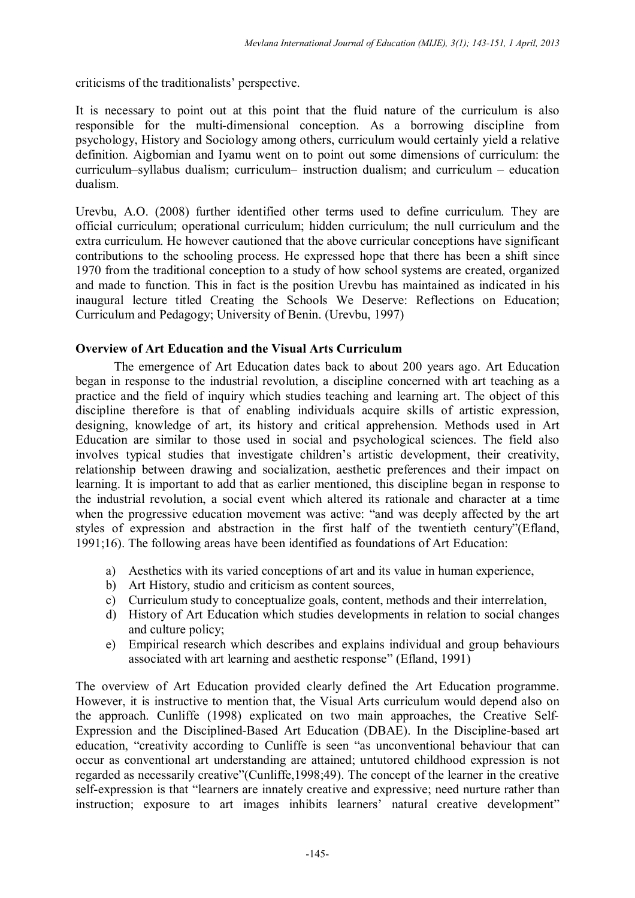criticisms of the traditionalists' perspective.

It is necessary to point out at this point that the fluid nature of the curriculum is also responsible for the multi-dimensional conception. As a borrowing discipline from psychology, History and Sociology among others, curriculum would certainly yield a relative definition. Aigbomian and Iyamu went on to point out some dimensions of curriculum: the curriculum–syllabus dualism; curriculum– instruction dualism; and curriculum – education dualism.

Urevbu, A.O. (2008) further identified other terms used to define curriculum. They are official curriculum; operational curriculum; hidden curriculum; the null curriculum and the extra curriculum. He however cautioned that the above curricular conceptions have significant contributions to the schooling process. He expressed hope that there has been a shift since 1970 from the traditional conception to a study of how school systems are created, organized and made to function. This in fact is the position Urevbu has maintained as indicated in his inaugural lecture titled Creating the Schools We Deserve: Reflections on Education; Curriculum and Pedagogy; University of Benin. (Urevbu, 1997)

### **Overview of Art Education and the Visual Arts Curriculum**

The emergence of Art Education dates back to about 200 years ago. Art Education began in response to the industrial revolution, a discipline concerned with art teaching as a practice and the field of inquiry which studies teaching and learning art. The object of this discipline therefore is that of enabling individuals acquire skills of artistic expression, designing, knowledge of art, its history and critical apprehension. Methods used in Art Education are similar to those used in social and psychological sciences. The field also involves typical studies that investigate children's artistic development, their creativity, relationship between drawing and socialization, aesthetic preferences and their impact on learning. It is important to add that as earlier mentioned, this discipline began in response to the industrial revolution, a social event which altered its rationale and character at a time when the progressive education movement was active: "and was deeply affected by the art styles of expression and abstraction in the first half of the twentieth century"(Efland, 1991;16). The following areas have been identified as foundations of Art Education:

- a) Aesthetics with its varied conceptions of art and its value in human experience,
- b) Art History, studio and criticism as content sources,
- c) Curriculum study to conceptualize goals, content, methods and their interrelation,
- d) History of Art Education which studies developments in relation to social changes and culture policy;
- e) Empirical research which describes and explains individual and group behaviours associated with art learning and aesthetic response" (Efland, 1991)

The overview of Art Education provided clearly defined the Art Education programme. However, it is instructive to mention that, the Visual Arts curriculum would depend also on the approach. Cunliffe (1998) explicated on two main approaches, the Creative Self-Expression and the Disciplined-Based Art Education (DBAE). In the Discipline-based art education, "creativity according to Cunliffe is seen "as unconventional behaviour that can occur as conventional art understanding are attained; untutored childhood expression is not regarded as necessarily creative"(Cunliffe,1998;49). The concept of the learner in the creative self-expression is that "learners are innately creative and expressive; need nurture rather than instruction; exposure to art images inhibits learners' natural creative development"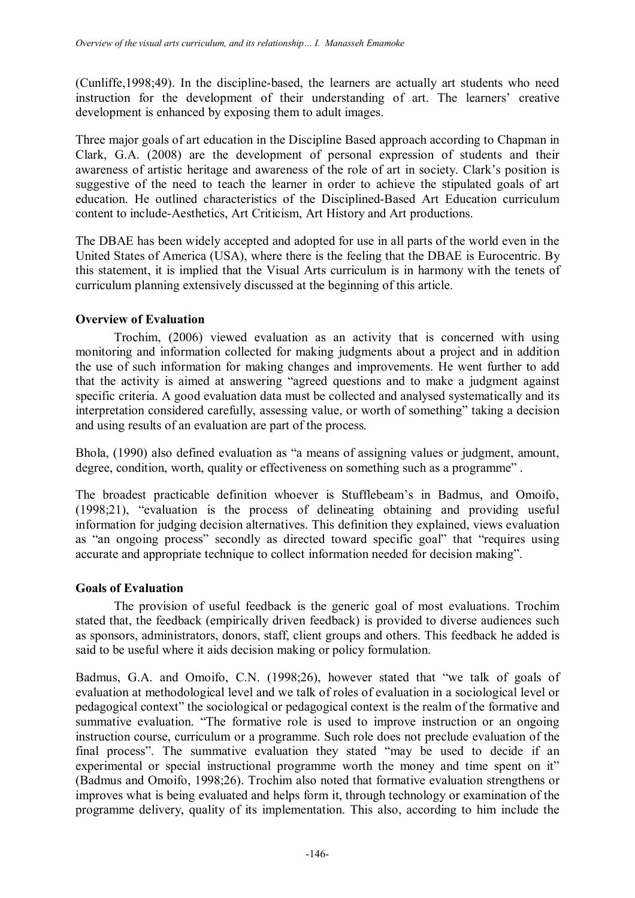(Cunliffe,1998;49). In the discipline-based, the learners are actually art students who need instruction for the development of their understanding of art. The learners' creative development is enhanced by exposing them to adult images.

Three major goals of art education in the Discipline Based approach according to Chapman in Clark, G.A. (2008) are the development of personal expression of students and their awareness of artistic heritage and awareness of the role of art in society. Clark's position is suggestive of the need to teach the learner in order to achieve the stipulated goals of art education. He outlined characteristics of the Disciplined-Based Art Education curriculum content to include-Aesthetics, Art Criticism, Art History and Art productions.

The DBAE has been widely accepted and adopted for use in all parts of the world even in the United States of America (USA), where there is the feeling that the DBAE is Eurocentric. By this statement, it is implied that the Visual Arts curriculum is in harmony with the tenets of curriculum planning extensively discussed at the beginning of this article.

# **Overview of Evaluation**

Trochim, (2006) viewed evaluation as an activity that is concerned with using monitoring and information collected for making judgments about a project and in addition the use of such information for making changes and improvements. He went further to add that the activity is aimed at answering "agreed questions and to make a judgment against specific criteria. A good evaluation data must be collected and analysed systematically and its interpretation considered carefully, assessing value, or worth of something" taking a decision and using results of an evaluation are part of the process.

Bhola, (1990) also defined evaluation as "a means of assigning values or judgment, amount, degree, condition, worth, quality or effectiveness on something such as a programme" .

The broadest practicable definition whoever is Stufflebeam's in Badmus, and Omoifo, (1998;21), "evaluation is the process of delineating obtaining and providing useful information for judging decision alternatives. This definition they explained, views evaluation as "an ongoing process" secondly as directed toward specific goal" that "requires using accurate and appropriate technique to collect information needed for decision making".

### **Goals of Evaluation**

The provision of useful feedback is the generic goal of most evaluations. Trochim stated that, the feedback (empirically driven feedback) is provided to diverse audiences such as sponsors, administrators, donors, staff, client groups and others. This feedback he added is said to be useful where it aids decision making or policy formulation.

Badmus, G.A. and Omoifo, C.N. (1998;26), however stated that "we talk of goals of evaluation at methodological level and we talk of roles of evaluation in a sociological level or pedagogical context" the sociological or pedagogical context is the realm of the formative and summative evaluation. "The formative role is used to improve instruction or an ongoing instruction course, curriculum or a programme. Such role does not preclude evaluation of the final process". The summative evaluation they stated "may be used to decide if an experimental or special instructional programme worth the money and time spent on it" (Badmus and Omoifo, 1998;26). Trochim also noted that formative evaluation strengthens or improves what is being evaluated and helps form it, through technology or examination of the programme delivery, quality of its implementation. This also, according to him include the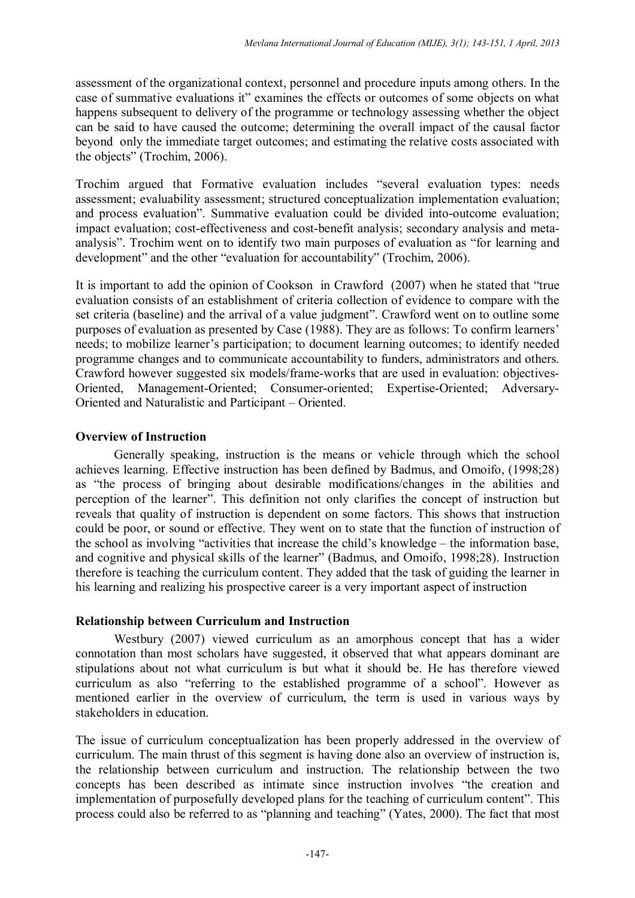assessment of the organizational context, personnel and procedure inputs among others. In the case of summative evaluations it" examines the effects or outcomes of some objects on what happens subsequent to delivery of the programme or technology assessing whether the object can be said to have caused the outcome; determining the overall impact of the causal factor beyond only the immediate target outcomes; and estimating the relative costs associated with the objects" (Trochim, 2006).

Trochim argued that Formative evaluation includes "several evaluation types: needs assessment; evaluability assessment; structured conceptualization implementation evaluation; and process evaluation". Summative evaluation could be divided into-outcome evaluation; impact evaluation; cost-effectiveness and cost-benefit analysis; secondary analysis and metaanalysis". Trochim went on to identify two main purposes of evaluation as "for learning and development" and the other "evaluation for accountability" (Trochim, 2006).

It is important to add the opinion of Cookson in Crawford (2007) when he stated that "true evaluation consists of an establishment of criteria collection of evidence to compare with the set criteria (baseline) and the arrival of a value judgment". Crawford went on to outline some purposes of evaluation as presented by Case (1988). They are as follows: To confirm learners' needs; to mobilize learner's participation; to document learning outcomes; to identify needed programme changes and to communicate accountability to funders, administrators and others. Crawford however suggested six models/frame-works that are used in evaluation: objectives-Oriented, Management-Oriented; Consumer-oriented; Expertise-Oriented; Adversary-Oriented and Naturalistic and Participant – Oriented.

# **Overview of Instruction**

Generally speaking, instruction is the means or vehicle through which the school achieves learning. Effective instruction has been defined by Badmus, and Omoifo, (1998;28) as "the process of bringing about desirable modifications/changes in the abilities and perception of the learner". This definition not only clarifies the concept of instruction but reveals that quality of instruction is dependent on some factors. This shows that instruction could be poor, or sound or effective. They went on to state that the function of instruction of the school as involving "activities that increase the child's knowledge – the information base, and cognitive and physical skills of the learner" (Badmus, and Omoifo, 1998;28). Instruction therefore is teaching the curriculum content. They added that the task of guiding the learner in his learning and realizing his prospective career is a very important aspect of instruction

# **Relationship between Curriculum and Instruction**

Westbury (2007) viewed curriculum as an amorphous concept that has a wider connotation than most scholars have suggested, it observed that what appears dominant are stipulations about not what curriculum is but what it should be. He has therefore viewed curriculum as also "referring to the established programme of a school". However as mentioned earlier in the overview of curriculum, the term is used in various ways by stakeholders in education.

The issue of curriculum conceptualization has been properly addressed in the overview of curriculum. The main thrust of this segment is having done also an overview of instruction is, the relationship between curriculum and instruction. The relationship between the two concepts has been described as intimate since instruction involves "the creation and implementation of purposefully developed plans for the teaching of curriculum content". This process could also be referred to as "planning and teaching" (Yates, 2000). The fact that most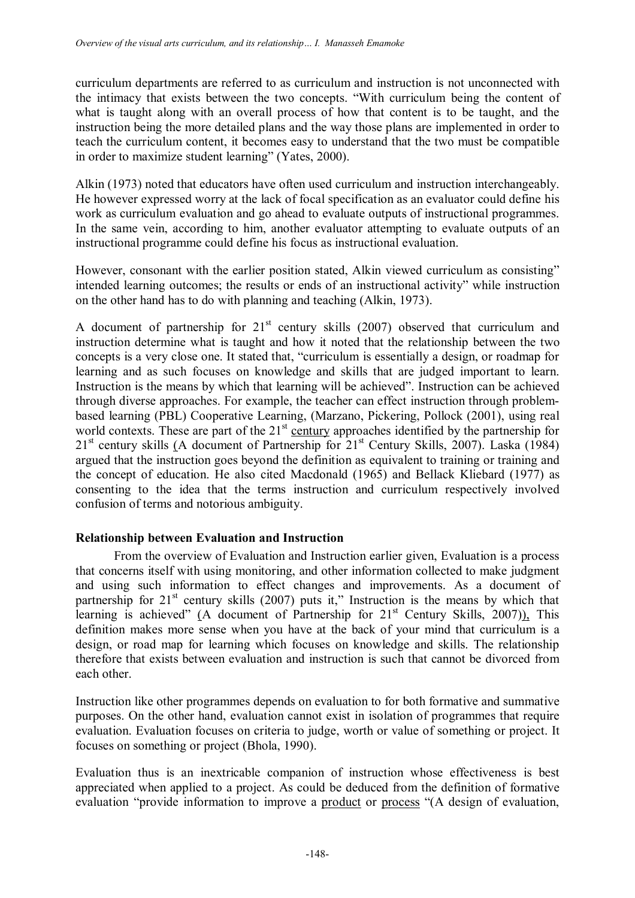curriculum departments are referred to as curriculum and instruction is not unconnected with the intimacy that exists between the two concepts. "With curriculum being the content of what is taught along with an overall process of how that content is to be taught, and the instruction being the more detailed plans and the way those plans are implemented in order to teach the curriculum content, it becomes easy to understand that the two must be compatible in order to maximize student learning" (Yates, 2000).

Alkin (1973) noted that educators have often used curriculum and instruction interchangeably. He however expressed worry at the lack of focal specification as an evaluator could define his work as curriculum evaluation and go ahead to evaluate outputs of instructional programmes. In the same vein, according to him, another evaluator attempting to evaluate outputs of an instructional programme could define his focus as instructional evaluation.

However, consonant with the earlier position stated, Alkin viewed curriculum as consisting" intended learning outcomes; the results or ends of an instructional activity" while instruction on the other hand has to do with planning and teaching (Alkin, 1973).

A document of partnership for  $21<sup>st</sup>$  century skills (2007) observed that curriculum and instruction determine what is taught and how it noted that the relationship between the two concepts is a very close one. It stated that, "curriculum is essentially a design, or roadmap for learning and as such focuses on knowledge and skills that are judged important to learn. Instruction is the means by which that learning will be achieved". Instruction can be achieved through diverse approaches. For example, the teacher can effect instruction through problembased learning (PBL) Cooperative Learning, (Marzano, Pickering, Pollock (2001), using real world contexts. These are part of the  $21<sup>st</sup>$  century approaches identified by the partnership for  $21<sup>st</sup>$  century skills (A document of Partnership for  $21<sup>st</sup>$  Century Skills, 2007). Laska (1984) argued that the instruction goes beyond the definition as equivalent to training or training and the concept of education. He also cited Macdonald (1965) and Bellack Kliebard (1977) as consenting to the idea that the terms instruction and curriculum respectively involved confusion of terms and notorious ambiguity.

### **Relationship between Evaluation and Instruction**

From the overview of Evaluation and Instruction earlier given, Evaluation is a process that concerns itself with using monitoring, and other information collected to make judgment and using such information to effect changes and improvements. As a document of partnership for  $21^{st}$  century skills (2007) puts it," Instruction is the means by which that learning is achieved" (A document of Partnership for  $21<sup>st</sup>$  Century Skills, 2007)), This definition makes more sense when you have at the back of your mind that curriculum is a design, or road map for learning which focuses on knowledge and skills. The relationship therefore that exists between evaluation and instruction is such that cannot be divorced from each other.

Instruction like other programmes depends on evaluation to for both formative and summative purposes. On the other hand, evaluation cannot exist in isolation of programmes that require evaluation. Evaluation focuses on criteria to judge, worth or value of something or project. It focuses on something or project (Bhola, 1990).

Evaluation thus is an inextricable companion of instruction whose effectiveness is best appreciated when applied to a project. As could be deduced from the definition of formative evaluation "provide information to improve a product or process "(A design of evaluation,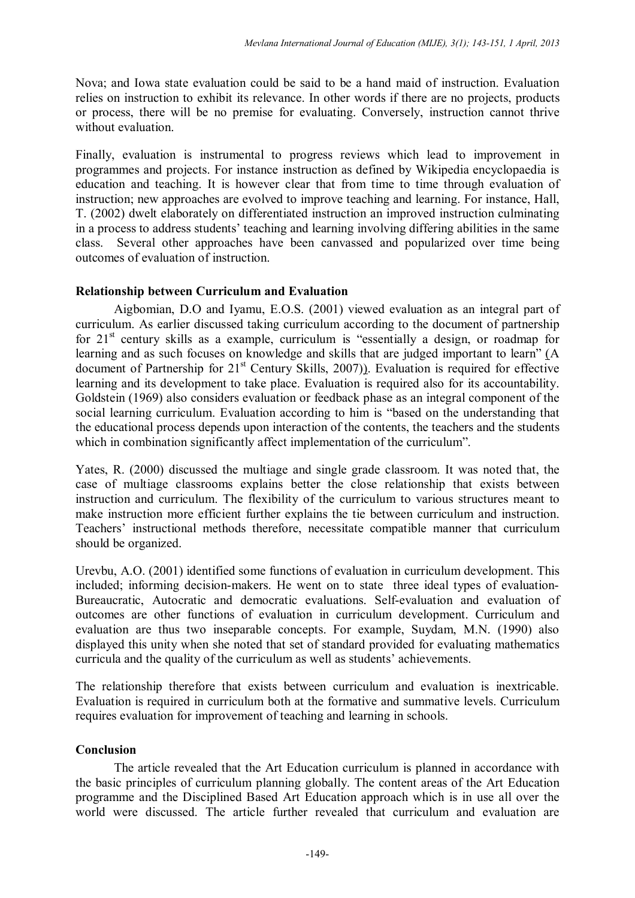Nova; and Iowa state evaluation could be said to be a hand maid of instruction. Evaluation relies on instruction to exhibit its relevance. In other words if there are no projects, products or process, there will be no premise for evaluating. Conversely, instruction cannot thrive without evaluation.

Finally, evaluation is instrumental to progress reviews which lead to improvement in programmes and projects. For instance instruction as defined by Wikipedia encyclopaedia is education and teaching. It is however clear that from time to time through evaluation of instruction; new approaches are evolved to improve teaching and learning. For instance, Hall, T. (2002) dwelt elaborately on differentiated instruction an improved instruction culminating in a process to address students' teaching and learning involving differing abilities in the same class. Several other approaches have been canvassed and popularized over time being outcomes of evaluation of instruction.

# **Relationship between Curriculum and Evaluation**

Aigbomian, D.O and Iyamu, E.O.S. (2001) viewed evaluation as an integral part of curriculum. As earlier discussed taking curriculum according to the document of partnership for  $21<sup>st</sup>$  century skills as a example, curriculum is "essentially a design, or roadmap for learning and as such focuses on knowledge and skills that are judged important to learn" (A document of Partnership for  $21<sup>st</sup>$  Century Skills, 2007)). Evaluation is required for effective learning and its development to take place. Evaluation is required also for its accountability. Goldstein (1969) also considers evaluation or feedback phase as an integral component of the social learning curriculum. Evaluation according to him is "based on the understanding that the educational process depends upon interaction of the contents, the teachers and the students which in combination significantly affect implementation of the curriculum".

Yates, R. (2000) discussed the multiage and single grade classroom. It was noted that, the case of multiage classrooms explains better the close relationship that exists between instruction and curriculum. The flexibility of the curriculum to various structures meant to make instruction more efficient further explains the tie between curriculum and instruction. Teachers' instructional methods therefore, necessitate compatible manner that curriculum should be organized.

Urevbu, A.O. (2001) identified some functions of evaluation in curriculum development. This included; informing decision-makers. He went on to state three ideal types of evaluation-Bureaucratic, Autocratic and democratic evaluations. Self-evaluation and evaluation of outcomes are other functions of evaluation in curriculum development. Curriculum and evaluation are thus two inseparable concepts. For example, Suydam, M.N. (1990) also displayed this unity when she noted that set of standard provided for evaluating mathematics curricula and the quality of the curriculum as well as students' achievements.

The relationship therefore that exists between curriculum and evaluation is inextricable. Evaluation is required in curriculum both at the formative and summative levels. Curriculum requires evaluation for improvement of teaching and learning in schools.

### **Conclusion**

The article revealed that the Art Education curriculum is planned in accordance with the basic principles of curriculum planning globally. The content areas of the Art Education programme and the Disciplined Based Art Education approach which is in use all over the world were discussed. The article further revealed that curriculum and evaluation are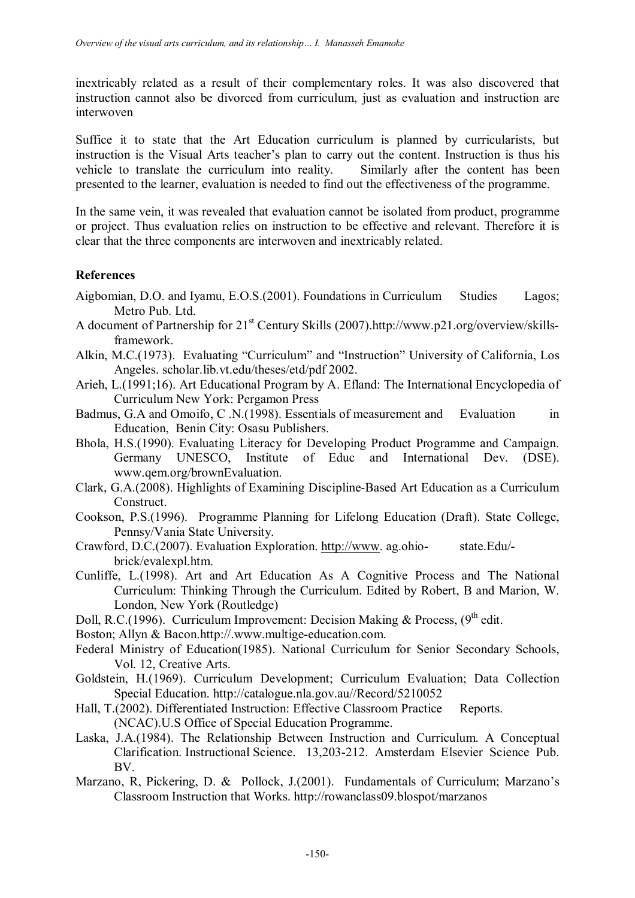inextricably related as a result of their complementary roles. It was also discovered that instruction cannot also be divorced from curriculum, just as evaluation and instruction are interwoven

Suffice it to state that the Art Education curriculum is planned by curricularists, but instruction is the Visual Arts teacher's plan to carry out the content. Instruction is thus his vehicle to translate the curriculum into reality. Similarly after the content has been presented to the learner, evaluation is needed to find out the effectiveness of the programme.

In the same vein, it was revealed that evaluation cannot be isolated from product, programme or project. Thus evaluation relies on instruction to be effective and relevant. Therefore it is clear that the three components are interwoven and inextricably related.

# **References**

- Aigbomian, D.O. and Iyamu, E.O.S.(2001). Foundations in Curriculum Studies Lagos; Metro Pub. Ltd.
- A document of Partnership for 21<sup>st</sup> Century Skills (2007).http://www.p21.org/overview/skillsframework.
- Alkin, M.C.(1973). Evaluating "Curriculum" and "Instruction" University of California, Los Angeles. scholar.lib.vt.edu/theses/etd/pdf 2002.
- Arieh, L.(1991;16). Art Educational Program by A. Efland: The International Encyclopedia of Curriculum New York: Pergamon Press
- Badmus, G.A and Omoifo, C.N.(1998). Essentials of measurement and Evaluation in Education, Benin City: Osasu Publishers.
- Bhola, H.S.(1990). Evaluating Literacy for Developing Product Programme and Campaign. Germany UNESCO, Institute of Educ and International Dev. (DSE). www.qem.org/brownEvaluation.
- Clark, G.A.(2008). Highlights of Examining Discipline-Based Art Education as a Curriculum Construct.
- Cookson, P.S.(1996). Programme Planning for Lifelong Education (Draft). State College, Pennsy/Vania State University.
- Crawford, D.C.(2007). Evaluation Exploration. http://www. ag.ohio- state.Edu/ brick/evalexpl.htm.
- Cunliffe, L.(1998). Art and Art Education As A Cognitive Process and The National Curriculum: Thinking Through the Curriculum. Edited by Robert, B and Marion, W. London, New York (Routledge)
- Doll, R.C.(1996). Curriculum Improvement: Decision Making & Process,  $(9<sup>th</sup>$  edit.
- Boston; Allyn & Bacon.http://.www.multige-education.com.
- Federal Ministry of Education(1985). National Curriculum for Senior Secondary Schools, Vol. 12, Creative Arts.
- Goldstein, H.(1969). Curriculum Development; Curriculum Evaluation; Data Collection Special Education. http://catalogue.nla.gov.au//Record/5210052
- Hall, T.(2002). Differentiated Instruction: Effective Classroom Practice Reports. (NCAC).U.S Office of Special Education Programme.
- Laska, J.A.(1984). The Relationship Between Instruction and Curriculum. A Conceptual Clarification. Instructional Science. 13,203-212. Amsterdam Elsevier Science Pub. BV.
- Marzano, R, Pickering, D. & Pollock, J.(2001). Fundamentals of Curriculum; Marzano's Classroom Instruction that Works. http://rowanclass09.blospot/marzanos